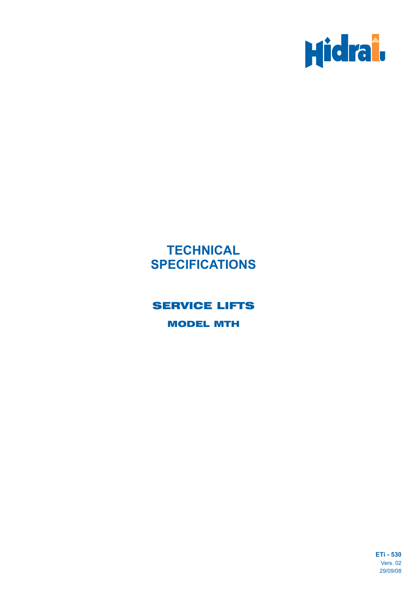

# **TECHNICAL SPECIFICATIONS**

# SERVICE LIFTS

MODEL MTH

**ETi - 530** Vers. 02 29/09/08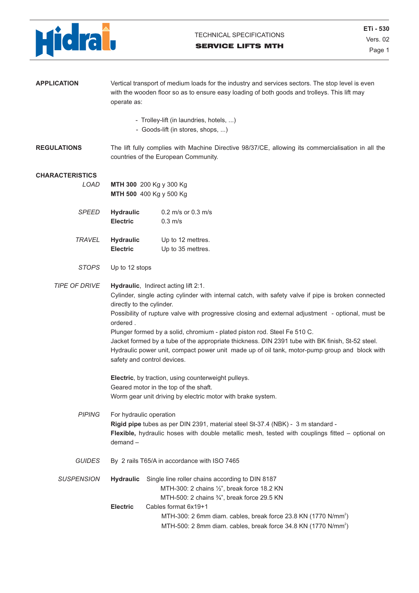

| <b>APPLICATION</b>     | Vertical transport of medium loads for the industry and services sectors. The stop level is even<br>with the wooden floor so as to ensure easy loading of both goods and trolleys. This lift may<br>operate as:             |                                                                                                                                                                                                                                                                                                                                                                                                                                                                                                                                                                                               |  |  |  |  |  |
|------------------------|-----------------------------------------------------------------------------------------------------------------------------------------------------------------------------------------------------------------------------|-----------------------------------------------------------------------------------------------------------------------------------------------------------------------------------------------------------------------------------------------------------------------------------------------------------------------------------------------------------------------------------------------------------------------------------------------------------------------------------------------------------------------------------------------------------------------------------------------|--|--|--|--|--|
|                        | - Trolley-lift (in laundries, hotels, )<br>- Goods-lift (in stores, shops, )                                                                                                                                                |                                                                                                                                                                                                                                                                                                                                                                                                                                                                                                                                                                                               |  |  |  |  |  |
| <b>REGULATIONS</b>     |                                                                                                                                                                                                                             | The lift fully complies with Machine Directive 98/37/CE, allowing its commercialisation in all the<br>countries of the European Community.                                                                                                                                                                                                                                                                                                                                                                                                                                                    |  |  |  |  |  |
| <b>CHARACTERISTICS</b> |                                                                                                                                                                                                                             |                                                                                                                                                                                                                                                                                                                                                                                                                                                                                                                                                                                               |  |  |  |  |  |
| LOAD                   |                                                                                                                                                                                                                             | MTH 300 200 Kg y 300 Kg<br>MTH 500 400 Kg y 500 Kg                                                                                                                                                                                                                                                                                                                                                                                                                                                                                                                                            |  |  |  |  |  |
| <b>SPEED</b>           | <b>Hydraulic</b><br><b>Electric</b>                                                                                                                                                                                         | $0.2$ m/s or $0.3$ m/s<br>$0.3$ m/s                                                                                                                                                                                                                                                                                                                                                                                                                                                                                                                                                           |  |  |  |  |  |
| <b>TRAVEL</b>          | <b>Hydraulic</b><br><b>Electric</b>                                                                                                                                                                                         | Up to 12 mettres.<br>Up to 35 mettres.                                                                                                                                                                                                                                                                                                                                                                                                                                                                                                                                                        |  |  |  |  |  |
| <b>STOPS</b>           | Up to 12 stops                                                                                                                                                                                                              |                                                                                                                                                                                                                                                                                                                                                                                                                                                                                                                                                                                               |  |  |  |  |  |
| <b>TIPE OF DRIVE</b>   | ordered.                                                                                                                                                                                                                    | Hydraulic, Indirect acting lift 2:1.<br>Cylinder, single acting cylinder with internal catch, with safety valve if pipe is broken connected<br>directly to the cylinder.<br>Possibility of rupture valve with progressive closing and external adjustment - optional, must be<br>Plunger formed by a solid, chromium - plated piston rod. Steel Fe 510 C.<br>Jacket formed by a tube of the appropriate thickness. DIN 2391 tube with BK finish, St-52 steel.<br>Hydraulic power unit, compact power unit made up of oil tank, motor-pump group and block with<br>safety and control devices. |  |  |  |  |  |
|                        | Electric, by traction, using counterweight pulleys.<br>Geared motor in the top of the shaft.<br>Worm gear unit driving by electric motor with brake system.                                                                 |                                                                                                                                                                                                                                                                                                                                                                                                                                                                                                                                                                                               |  |  |  |  |  |
| <b>PIPING</b>          | For hydraulic operation<br>Rigid pipe tubes as per DIN 2391, material steel St-37.4 (NBK) - 3 m standard -<br>Flexible, hydraulic hoses with double metallic mesh, tested with couplings fitted - optional on<br>$demand -$ |                                                                                                                                                                                                                                                                                                                                                                                                                                                                                                                                                                                               |  |  |  |  |  |
| <b>GUIDES</b>          | By 2 rails T65/A in accordance with ISO 7465                                                                                                                                                                                |                                                                                                                                                                                                                                                                                                                                                                                                                                                                                                                                                                                               |  |  |  |  |  |
| <b>SUSPENSION</b>      | <b>Hydraulic</b>                                                                                                                                                                                                            | Single line roller chains according to DIN 8187<br>MTH-300: 2 chains 1/2", break force 18.2 KN<br>MTH-500: 2 chains 3/4", break force 29.5 KN                                                                                                                                                                                                                                                                                                                                                                                                                                                 |  |  |  |  |  |
|                        | <b>Electric</b>                                                                                                                                                                                                             | Cables format 6x19+1<br>MTH-300: 2 6mm diam. cables, break force 23.8 KN (1770 N/mm <sup>2</sup> )<br>MTH-500: 2 8mm diam. cables, break force 34.8 KN (1770 N/mm <sup>2</sup> )                                                                                                                                                                                                                                                                                                                                                                                                              |  |  |  |  |  |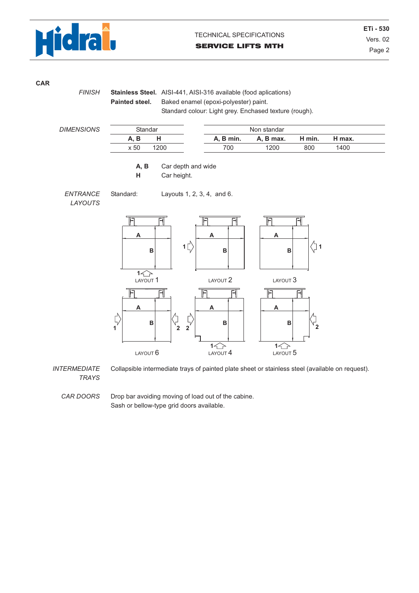

**CAR**

*FINISH*

**Stainless Steel.** AISI-441, AISI-316 available (food aplications) **Painted steel.** Baked enamel (epoxi-polyester) paint. Standard colour: Light grey. Enchased texture (rough).

| <b>DIMENSIONS</b> | Standar |      | Non standar |           |        |        |  |
|-------------------|---------|------|-------------|-----------|--------|--------|--|
|                   | В       |      | A, B min.   | A. B max. | H min. | ' max. |  |
|                   | x 50    | 1200 | 700         | 1200      | 800    | 1400   |  |

**A, B** Car depth and wide

**H** Car height.

*ENTRANCE LAYOUTS*





*INTERMEDIATE TRAYS* Collapsible intermediate trays of painted plate sheet or stainless steel (available on request).

*CAR DOORS* Drop bar avoiding moving of load out of the cabine. Sash or bellow-type grid doors available.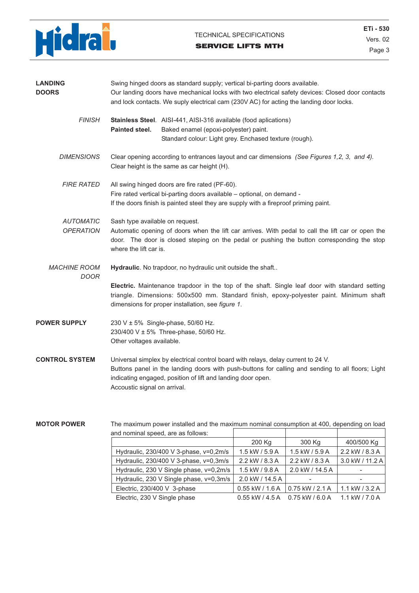

#### TECHNICAL SPECIFICATIONS

#### SERVICE LIFTS MTH

Page 3 **ETi - 530** Vers. 02

| <b>LANDING</b><br><b>DOORS</b>       | Swing hinged doors as standard supply; vertical bi-parting doors available.<br>Our landing doors have mechanical locks with two electrical safety devices: Closed door contacts<br>and lock contacts. We suply electrical cam (230V AC) for acting the landing door locks.            |                                                                                                                                                                     |  |  |  |  |  |
|--------------------------------------|---------------------------------------------------------------------------------------------------------------------------------------------------------------------------------------------------------------------------------------------------------------------------------------|---------------------------------------------------------------------------------------------------------------------------------------------------------------------|--|--|--|--|--|
| <b>FINISH</b>                        | Painted steel.                                                                                                                                                                                                                                                                        | Stainless Steel. AISI-441, AISI-316 available (food aplications)<br>Baked enamel (epoxi-polyester) paint.<br>Standard colour: Light grey. Enchased texture (rough). |  |  |  |  |  |
| <b>DIMENSIONS</b>                    | Clear opening according to entrances layout and car dimensions (See Figures 1,2, 3, and 4).<br>Clear height is the same as car height (H).                                                                                                                                            |                                                                                                                                                                     |  |  |  |  |  |
| <b>FIRE RATED</b>                    | All swing hinged doors are fire rated (PF-60).<br>Fire rated vertical bi-parting doors available - optional, on demand -<br>If the doors finish is painted steel they are supply with a fireproof priming paint.                                                                      |                                                                                                                                                                     |  |  |  |  |  |
| <b>AUTOMATIC</b><br><b>OPERATION</b> | Sash type available on request.<br>Automatic opening of doors when the lift car arrives. With pedal to call the lift car or open the<br>door. The door is closed steping on the pedal or pushing the button corresponding the stop<br>where the lift car is.                          |                                                                                                                                                                     |  |  |  |  |  |
| <b>MACHINE ROOM</b><br>DOOR          | Hydraulic. No trapdoor, no hydraulic unit outside the shaft                                                                                                                                                                                                                           |                                                                                                                                                                     |  |  |  |  |  |
|                                      | Electric. Maintenance trapdoor in the top of the shaft. Single leaf door with standard setting<br>triangle. Dimensions: 500x500 mm. Standard finish, epoxy-polyester paint. Minimum shaft<br>dimensions for proper installation, see figure 1.                                        |                                                                                                                                                                     |  |  |  |  |  |
| <b>POWER SUPPLY</b>                  | 230 V ± 5% Single-phase, 50/60 Hz.<br>230/400 V ± 5% Three-phase, 50/60 Hz.<br>Other voltages available.                                                                                                                                                                              |                                                                                                                                                                     |  |  |  |  |  |
| <b>CONTROL SYSTEM</b>                | Universal simplex by electrical control board with relays, delay current to 24 V.<br>Buttons panel in the landing doors with push-buttons for calling and sending to all floors; Light<br>indicating engaged, position of lift and landing door open.<br>Accoustic signal on arrival. |                                                                                                                                                                     |  |  |  |  |  |

#### **MOTOR POWER**

The maximum power installed and the maximum nominal consumption at 400, depending on load

| and nominal speed, are as follows:      |                                         |                    |                  |
|-----------------------------------------|-----------------------------------------|--------------------|------------------|
|                                         | 200 Kg                                  | 300 Kg             | 400/500 Kg       |
| Hydraulic, 230/400 V 3-phase, v=0,2m/s  | 1.5 kW / 5.9 A                          | $1.5$ kW / $5.9$ A | 2.2 kW / 8.3 A   |
| Hydraulic, 230/400 V 3-phase, v=0,3m/s  | 2.2 kW / 8.3 A                          | 2.2 kW / 8.3 A     | 3.0 kW / 11.2 A  |
| Hydraulic, 230 V Single phase, v=0,2m/s | 1.5 kW / 9.8 A                          | 2.0 kW / 14.5 A    |                  |
| Hydraulic, 230 V Single phase, v=0,3m/s | 2.0 kW / 14.5 A                         |                    |                  |
| Electric, 230/400 V 3-phase             | $0.55$ kW / 1.6 A                       | $0.75$ kW / 2.1 A  | 1.1 kW $/$ 3.2 A |
| Electric, 230 V Single phase            | $0.55$ kW $/$ 4.5 A $0.75$ kW $/$ 6.0 A |                    | 1.1 kW $/$ 7.0 A |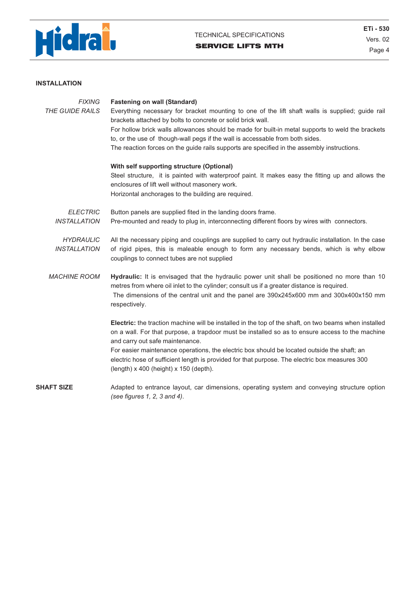

#### **INSTALLATION**

| <b>FIXING</b><br><b>THE GUIDE RAILS</b> | <b>Fastening on wall (Standard)</b><br>Everything necessary for bracket mounting to one of the lift shaft walls is supplied; guide rail<br>brackets attached by bolts to concrete or solid brick wall.<br>For hollow brick walls allowances should be made for built-in metal supports to weld the brackets<br>to, or the use of though-wall pegs if the wall is accessable from both sides.<br>The reaction forces on the guide rails supports are specified in the assembly instructions.<br>With self supporting structure (Optional)<br>Steel structure, it is painted with waterproof paint. It makes easy the fitting up and allows the<br>enclosures of lift well without masonery work.<br>Horizontal anchorages to the building are required. |
|-----------------------------------------|--------------------------------------------------------------------------------------------------------------------------------------------------------------------------------------------------------------------------------------------------------------------------------------------------------------------------------------------------------------------------------------------------------------------------------------------------------------------------------------------------------------------------------------------------------------------------------------------------------------------------------------------------------------------------------------------------------------------------------------------------------|
| <b>ELECTRIC</b><br><b>INSTALLATION</b>  | Button panels are supplied fited in the landing doors frame.<br>Pre-mounted and ready to plug in, interconnecting different floors by wires with connectors.                                                                                                                                                                                                                                                                                                                                                                                                                                                                                                                                                                                           |
| <b>HYDRAULIC</b><br><b>INSTALLATION</b> | All the necessary piping and couplings are supplied to carry out hydraulic installation. In the case<br>of rigid pipes, this is maleable enough to form any necessary bends, which is why elbow<br>couplings to connect tubes are not supplied                                                                                                                                                                                                                                                                                                                                                                                                                                                                                                         |
| <b>MACHINE ROOM</b>                     | Hydraulic: It is envisaged that the hydraulic power unit shall be positioned no more than 10<br>metres from where oil inlet to the cylinder; consult us if a greater distance is required.<br>The dimensions of the central unit and the panel are 390x245x600 mm and 300x400x150 mm<br>respectively.                                                                                                                                                                                                                                                                                                                                                                                                                                                  |
|                                         | Electric: the traction machine will be installed in the top of the shaft, on two beams when installed<br>on a wall. For that purpose, a trapdoor must be installed so as to ensure access to the machine<br>and carry out safe maintenance.                                                                                                                                                                                                                                                                                                                                                                                                                                                                                                            |
|                                         | For easier maintenance operations, the electric box should be located outside the shaft; an<br>electric hose of sufficient length is provided for that purpose. The electric box measures 300<br>$(length)$ x 400 (height) x 150 (depth).                                                                                                                                                                                                                                                                                                                                                                                                                                                                                                              |
| <b>SHAFT SIZE</b>                       | Adapted to entrance layout, car dimensions, operating system and conveying structure option<br>(see figures $1, 2, 3$ and $4$ ).                                                                                                                                                                                                                                                                                                                                                                                                                                                                                                                                                                                                                       |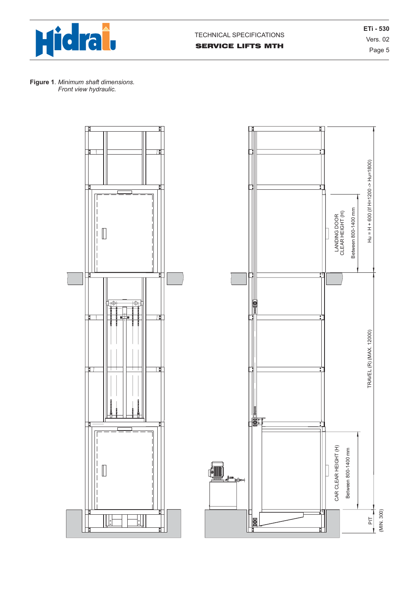

Page 5 **ETi - 530** Vers. 02



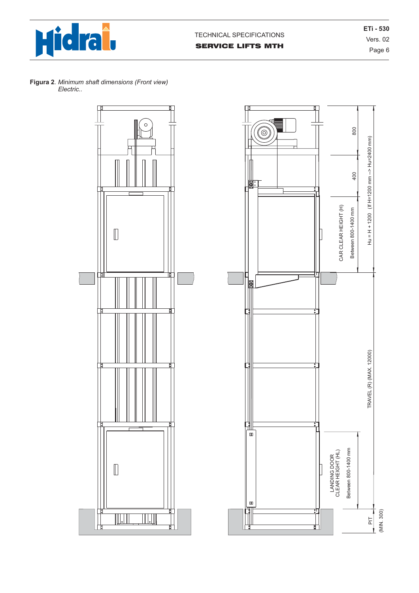

Page 6 **ETi - 530** Vers. 02





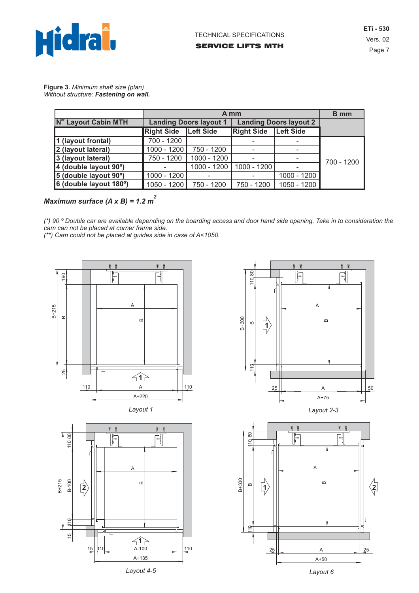

Page 7 **ETi - 530** Vers. 02

**Figure 3.** *Minimum shaft size (plan) Without structure: Fastening on wall.*

|                                  | A mm              |                               |                               |                  | <b>B</b> mm |
|----------------------------------|-------------------|-------------------------------|-------------------------------|------------------|-------------|
| N <sup>er</sup> Layout Cabin MTH |                   | <b>Landing Doors layout 1</b> | <b>Landing Doors layout 2</b> |                  |             |
|                                  | <b>Right Side</b> | <b>Left Side</b>              | <b>Right Side</b>             | <b>Left Side</b> |             |
| 1 (layout frontal)               | 700 - 1200        |                               |                               |                  |             |
| 2 (layout lateral)               | 1000 - 1200       | 750 - 1200                    |                               |                  |             |
| 3 (layout lateral)               | 750 - 1200        | 1000 - 1200                   |                               |                  | 700 - 1200  |
| 4 (double layout 90°)            |                   | 1000 - 1200                   | $1000 - 1200$                 |                  |             |
| 5 (double layout 90°)            | 1000 - 1200       |                               |                               | 1000 - 1200      |             |
| 6 (double layout 180°)           | 1050 - 1200       | 750 - 1200                    | 750 - 1200                    | 1050 - 1200      |             |

### *Maximum surface (A x B) = 1.2 m<sup>2</sup>*

*(\*) 90 º Double car are available depending on the boarding access and door hand side opening. Take in to consideration the cam can not be placed at corner frame side.*

*(\*\*) Cam could not be placed at guides side in case of A<1050.*



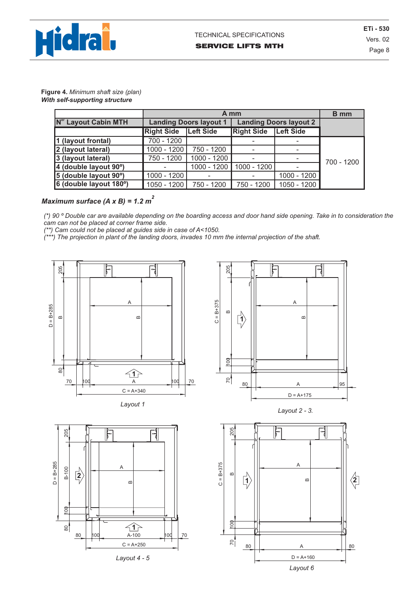

Page 8 **ETi - 530** Vers. 02

**Figure 4.** *Minimum shaft size (plan) With self-supporting structure*

|                                  | A mm              |                               |                               |                  | <b>B</b> mm |
|----------------------------------|-------------------|-------------------------------|-------------------------------|------------------|-------------|
| N <sup>er</sup> Layout Cabin MTH |                   | <b>Landing Doors layout 1</b> | <b>Landing Doors layout 2</b> |                  |             |
|                                  | <b>Right Side</b> | <b>Left Side</b>              | <b>Right Side</b>             | <b>Left Side</b> |             |
| 1 (layout frontal)               | 700 - 1200        |                               |                               |                  |             |
| 2 (layout lateral)               | 1000 - 1200       | 750 - 1200                    |                               |                  |             |
| 3 (layout lateral)               | 750 - 1200        | 1000 - 1200                   |                               |                  | 700 - 1200  |
| 4 (double layout 90°)            |                   | 1000 - 1200                   | 1000 - 1200                   |                  |             |
| 5 (double layout 90°)            | 1000 - 1200       |                               |                               | 1000 - 1200      |             |
| 6 (double layout 180°)           | 1050 - 1200       | 750 - 1200                    | 750 - 1200                    | 1050 - 1200      |             |

## *Maximum surface (A x B) = 1.2 m<sup>2</sup>*

*(\*) 90 º Double car are available depending on the boarding access and door hand side opening. Take in to consideration the cam can not be placed at corner frame side.*

*(\*\*) Cam could not be placed at guides side in case of A<1050.*

*(\*\*\*) The projection in plant of the landing doors, invades 10 mm the internal projection of the shaft.*